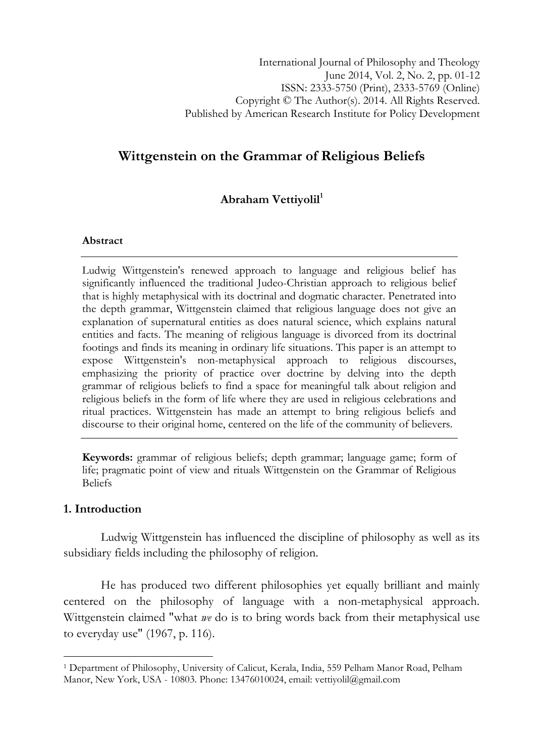# Wittgenstein on the Grammar of Religious Beliefs

# Abraham Vettiyolil<sup>1</sup>

#### Abstract

Ludwig Wittgenstein's renewed approach to language and religious belief has significantly influenced the traditional Judeo-Christian approach to religious belief that is highly metaphysical with its doctrinal and dogmatic character. Penetrated into the depth grammar, Wittgenstein claimed that religious language does not give an explanation of supernatural entities as does natural science, which explains natural entities and facts. The meaning of religious language is divorced from its doctrinal footings and finds its meaning in ordinary life situations. This paper is an attempt to expose Wittgenstein's non-metaphysical approach to religious discourses, emphasizing the priority of practice over doctrine by delving into the depth grammar of religious beliefs to find a space for meaningful talk about religion and religious beliefs in the form of life where they are used in religious celebrations and ritual practices. Wittgenstein has made an attempt to bring religious beliefs and discourse to their original home, centered on the life of the community of believers.

Keywords: grammar of religious beliefs; depth grammar; language game; form of life; pragmatic point of view and rituals Wittgenstein on the Grammar of Religious Beliefs

### 1. Introduction

l

Ludwig Wittgenstein has influenced the discipline of philosophy as well as its subsidiary fields including the philosophy of religion.

He has produced two different philosophies yet equally brilliant and mainly centered on the philosophy of language with a non-metaphysical approach. Wittgenstein claimed "what  $we$  do is to bring words back from their metaphysical use to everyday use" (1967, p. 116).

<sup>1</sup> Department of Philosophy, University of Calicut, Kerala, India, 559 Pelham Manor Road, Pelham Manor, New York, USA - 10803. Phone: 13476010024, email: vettiyolil@gmail.com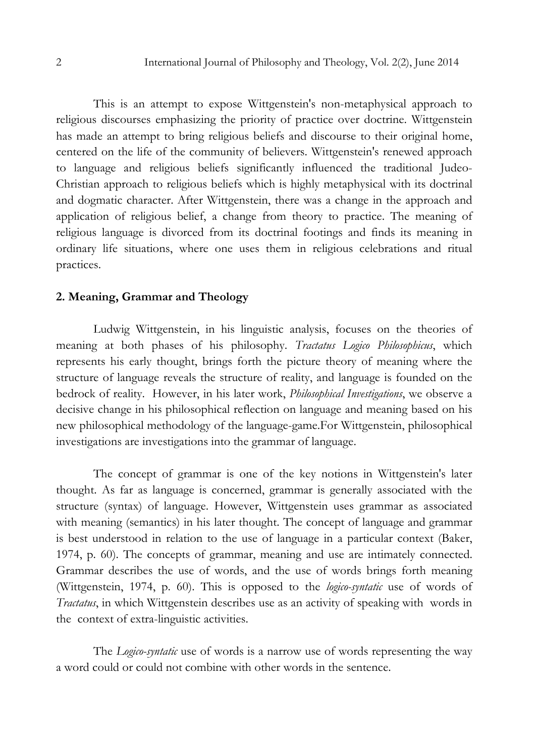This is an attempt to expose Wittgenstein's non-metaphysical approach to religious discourses emphasizing the priority of practice over doctrine. Wittgenstein has made an attempt to bring religious beliefs and discourse to their original home, centered on the life of the community of believers. Wittgenstein's renewed approach to language and religious beliefs significantly influenced the traditional Judeo-Christian approach to religious beliefs which is highly metaphysical with its doctrinal and dogmatic character. After Wittgenstein, there was a change in the approach and application of religious belief, a change from theory to practice. The meaning of religious language is divorced from its doctrinal footings and finds its meaning in ordinary life situations, where one uses them in religious celebrations and ritual practices.

#### 2. Meaning, Grammar and Theology

Ludwig Wittgenstein, in his linguistic analysis, focuses on the theories of meaning at both phases of his philosophy. Tractatus Logico Philosophicus, which represents his early thought, brings forth the picture theory of meaning where the structure of language reveals the structure of reality, and language is founded on the bedrock of reality. However, in his later work, Philosophical Investigations, we observe a decisive change in his philosophical reflection on language and meaning based on his new philosophical methodology of the language-game.For Wittgenstein, philosophical investigations are investigations into the grammar of language.

The concept of grammar is one of the key notions in Wittgenstein's later thought. As far as language is concerned, grammar is generally associated with the structure (syntax) of language. However, Wittgenstein uses grammar as associated with meaning (semantics) in his later thought. The concept of language and grammar is best understood in relation to the use of language in a particular context (Baker, 1974, p. 60). The concepts of grammar, meaning and use are intimately connected. Grammar describes the use of words, and the use of words brings forth meaning (Wittgenstein, 1974, p. 60). This is opposed to the logico-syntatic use of words of Tractatus, in which Wittgenstein describes use as an activity of speaking with words in the context of extra-linguistic activities.

The *Logico-syntatic* use of words is a narrow use of words representing the way a word could or could not combine with other words in the sentence.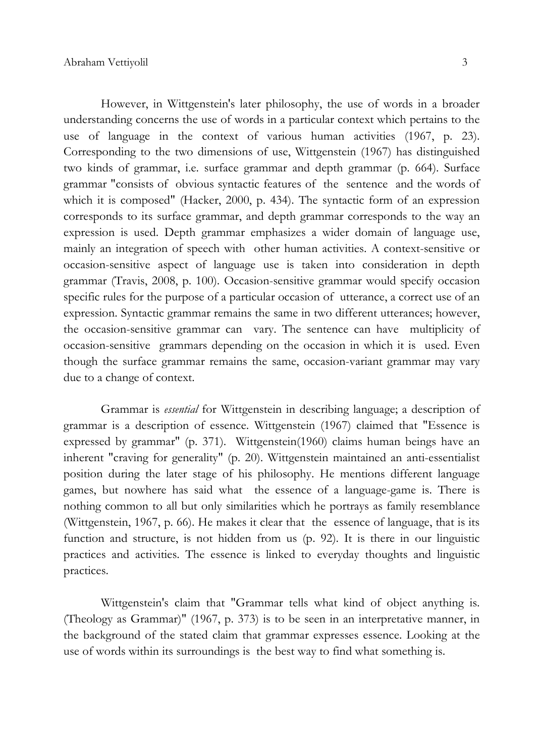However, in Wittgenstein's later philosophy, the use of words in a broader understanding concerns the use of words in a particular context which pertains to the use of language in the context of various human activities (1967, p. 23). Corresponding to the two dimensions of use, Wittgenstein (1967) has distinguished two kinds of grammar, i.e. surface grammar and depth grammar (p. 664). Surface grammar "consists of obvious syntactic features of the sentence and the words of which it is composed" (Hacker, 2000, p. 434). The syntactic form of an expression corresponds to its surface grammar, and depth grammar corresponds to the way an expression is used. Depth grammar emphasizes a wider domain of language use, mainly an integration of speech with other human activities. A context-sensitive or occasion-sensitive aspect of language use is taken into consideration in depth grammar (Travis, 2008, p. 100). Occasion-sensitive grammar would specify occasion specific rules for the purpose of a particular occasion of utterance, a correct use of an expression. Syntactic grammar remains the same in two different utterances; however, the occasion-sensitive grammar can vary. The sentence can have multiplicity of occasion-sensitive grammars depending on the occasion in which it is used. Even though the surface grammar remains the same, occasion-variant grammar may vary due to a change of context.

Grammar is essential for Wittgenstein in describing language; a description of grammar is a description of essence. Wittgenstein (1967) claimed that "Essence is expressed by grammar" (p. 371). Wittgenstein(1960) claims human beings have an inherent "craving for generality" (p. 20). Wittgenstein maintained an anti-essentialist position during the later stage of his philosophy. He mentions different language games, but nowhere has said what the essence of a language-game is. There is nothing common to all but only similarities which he portrays as family resemblance (Wittgenstein, 1967, p. 66). He makes it clear that the essence of language, that is its function and structure, is not hidden from us (p. 92). It is there in our linguistic practices and activities. The essence is linked to everyday thoughts and linguistic practices.

Wittgenstein's claim that "Grammar tells what kind of object anything is. (Theology as Grammar)" (1967, p. 373) is to be seen in an interpretative manner, in the background of the stated claim that grammar expresses essence. Looking at the use of words within its surroundings is the best way to find what something is.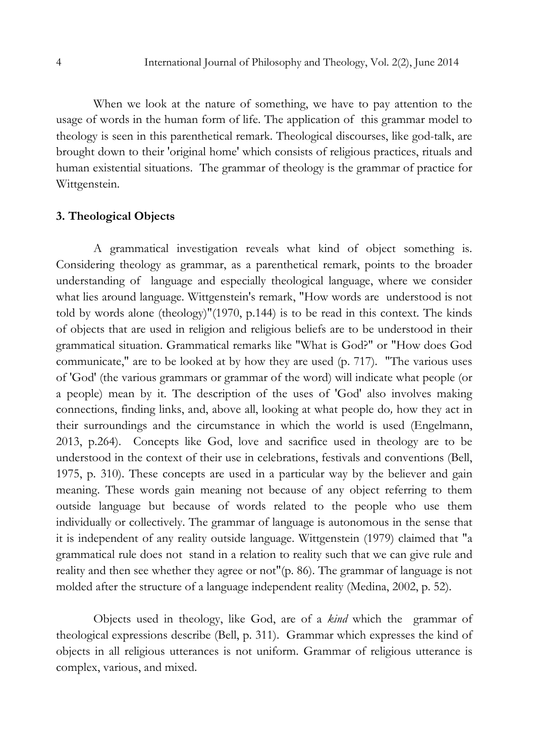When we look at the nature of something, we have to pay attention to the usage of words in the human form of life. The application of this grammar model to theology is seen in this parenthetical remark. Theological discourses, like god-talk, are brought down to their 'original home' which consists of religious practices, rituals and human existential situations. The grammar of theology is the grammar of practice for Wittgenstein.

#### 3. Theological Objects

A grammatical investigation reveals what kind of object something is. Considering theology as grammar, as a parenthetical remark, points to the broader understanding of language and especially theological language, where we consider what lies around language. Wittgenstein's remark, "How words are understood is not told by words alone (theology)"(1970, p.144) is to be read in this context. The kinds of objects that are used in religion and religious beliefs are to be understood in their grammatical situation. Grammatical remarks like "What is God?" or "How does God communicate," are to be looked at by how they are used (p. 717). "The various uses of 'God' (the various grammars or grammar of the word) will indicate what people (or a people) mean by it. The description of the uses of 'God' also involves making connections, finding links, and, above all, looking at what people do, how they act in their surroundings and the circumstance in which the world is used (Engelmann, 2013, p.264). Concepts like God, love and sacrifice used in theology are to be understood in the context of their use in celebrations, festivals and conventions (Bell, 1975, p. 310). These concepts are used in a particular way by the believer and gain meaning. These words gain meaning not because of any object referring to them outside language but because of words related to the people who use them individually or collectively. The grammar of language is autonomous in the sense that it is independent of any reality outside language. Wittgenstein (1979) claimed that "a grammatical rule does not stand in a relation to reality such that we can give rule and reality and then see whether they agree or not"(p. 86). The grammar of language is not molded after the structure of a language independent reality (Medina, 2002, p. 52).

Objects used in theology, like God, are of a kind which the grammar of theological expressions describe (Bell, p. 311). Grammar which expresses the kind of objects in all religious utterances is not uniform. Grammar of religious utterance is complex, various, and mixed.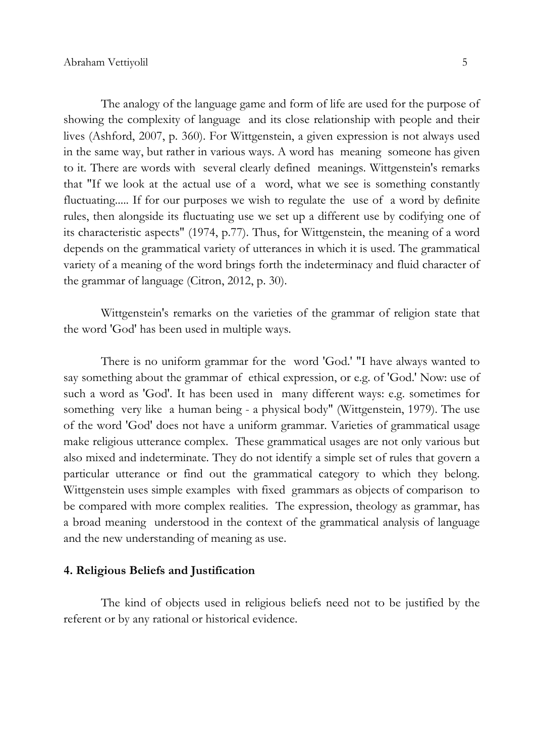The analogy of the language game and form of life are used for the purpose of showing the complexity of language and its close relationship with people and their lives (Ashford, 2007, p. 360). For Wittgenstein, a given expression is not always used in the same way, but rather in various ways. A word has meaning someone has given to it. There are words with several clearly defined meanings. Wittgenstein's remarks that "If we look at the actual use of a word, what we see is something constantly fluctuating..... If for our purposes we wish to regulate the use of a word by definite rules, then alongside its fluctuating use we set up a different use by codifying one of its characteristic aspects" (1974, p.77). Thus, for Wittgenstein, the meaning of a word depends on the grammatical variety of utterances in which it is used. The grammatical variety of a meaning of the word brings forth the indeterminacy and fluid character of the grammar of language (Citron, 2012, p. 30).

Wittgenstein's remarks on the varieties of the grammar of religion state that the word 'God' has been used in multiple ways.

There is no uniform grammar for the word 'God.' "I have always wanted to say something about the grammar of ethical expression, or e.g. of 'God.' Now: use of such a word as 'God'. It has been used in many different ways: e.g. sometimes for something very like a human being - a physical body" (Wittgenstein, 1979). The use of the word 'God' does not have a uniform grammar. Varieties of grammatical usage make religious utterance complex. These grammatical usages are not only various but also mixed and indeterminate. They do not identify a simple set of rules that govern a particular utterance or find out the grammatical category to which they belong. Wittgenstein uses simple examples with fixed grammars as objects of comparison to be compared with more complex realities. The expression, theology as grammar, has a broad meaning understood in the context of the grammatical analysis of language and the new understanding of meaning as use.

#### 4. Religious Beliefs and Justification

The kind of objects used in religious beliefs need not to be justified by the referent or by any rational or historical evidence.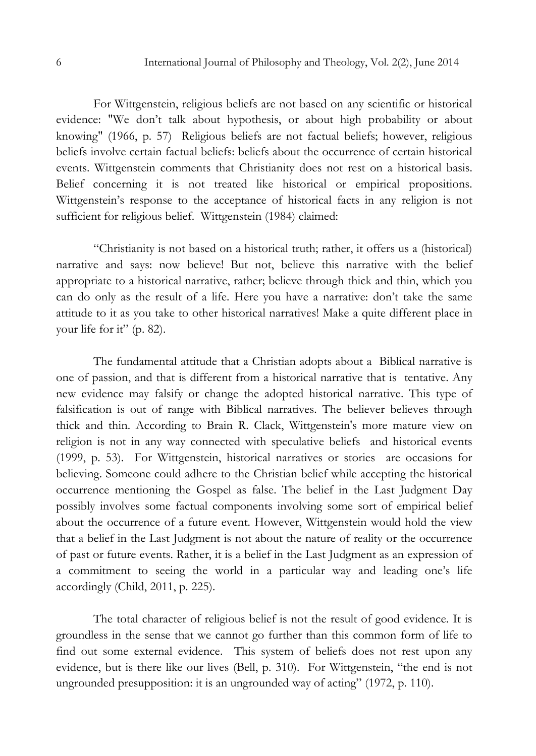For Wittgenstein, religious beliefs are not based on any scientific or historical evidence: "We don't talk about hypothesis, or about high probability or about knowing" (1966, p. 57) Religious beliefs are not factual beliefs; however, religious beliefs involve certain factual beliefs: beliefs about the occurrence of certain historical events. Wittgenstein comments that Christianity does not rest on a historical basis. Belief concerning it is not treated like historical or empirical propositions. Wittgenstein's response to the acceptance of historical facts in any religion is not sufficient for religious belief. Wittgenstein (1984) claimed:

"Christianity is not based on a historical truth; rather, it offers us a (historical) narrative and says: now believe! But not, believe this narrative with the belief appropriate to a historical narrative, rather; believe through thick and thin, which you can do only as the result of a life. Here you have a narrative: don't take the same attitude to it as you take to other historical narratives! Make a quite different place in your life for it" (p. 82).

The fundamental attitude that a Christian adopts about a Biblical narrative is one of passion, and that is different from a historical narrative that is tentative. Any new evidence may falsify or change the adopted historical narrative. This type of falsification is out of range with Biblical narratives. The believer believes through thick and thin. According to Brain R. Clack, Wittgenstein's more mature view on religion is not in any way connected with speculative beliefs and historical events (1999, p. 53). For Wittgenstein, historical narratives or stories are occasions for believing. Someone could adhere to the Christian belief while accepting the historical occurrence mentioning the Gospel as false. The belief in the Last Judgment Day possibly involves some factual components involving some sort of empirical belief about the occurrence of a future event. However, Wittgenstein would hold the view that a belief in the Last Judgment is not about the nature of reality or the occurrence of past or future events. Rather, it is a belief in the Last Judgment as an expression of a commitment to seeing the world in a particular way and leading one's life accordingly (Child, 2011, p. 225).

The total character of religious belief is not the result of good evidence. It is groundless in the sense that we cannot go further than this common form of life to find out some external evidence. This system of beliefs does not rest upon any evidence, but is there like our lives (Bell, p. 310). For Wittgenstein, "the end is not ungrounded presupposition: it is an ungrounded way of acting" (1972, p. 110).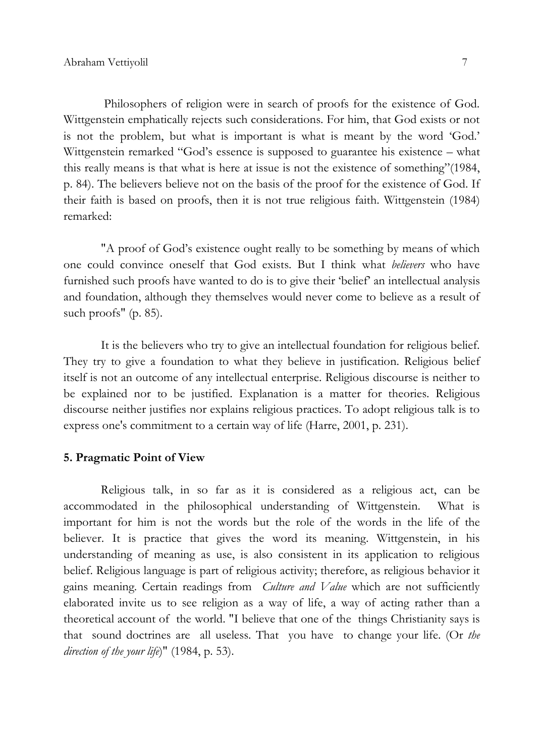Philosophers of religion were in search of proofs for the existence of God. Wittgenstein emphatically rejects such considerations. For him, that God exists or not is not the problem, but what is important is what is meant by the word 'God.' Wittgenstein remarked "God's essence is supposed to guarantee his existence – what this really means is that what is here at issue is not the existence of something"(1984, p. 84). The believers believe not on the basis of the proof for the existence of God. If their faith is based on proofs, then it is not true religious faith. Wittgenstein (1984) remarked:

"A proof of God's existence ought really to be something by means of which one could convince oneself that God exists. But I think what believers who have furnished such proofs have wanted to do is to give their 'belief' an intellectual analysis and foundation, although they themselves would never come to believe as a result of such proofs" (p. 85).

It is the believers who try to give an intellectual foundation for religious belief. They try to give a foundation to what they believe in justification. Religious belief itself is not an outcome of any intellectual enterprise. Religious discourse is neither to be explained nor to be justified. Explanation is a matter for theories. Religious discourse neither justifies nor explains religious practices. To adopt religious talk is to express one's commitment to a certain way of life (Harre, 2001, p. 231).

#### 5. Pragmatic Point of View

Religious talk, in so far as it is considered as a religious act, can be accommodated in the philosophical understanding of Wittgenstein. What is important for him is not the words but the role of the words in the life of the believer. It is practice that gives the word its meaning. Wittgenstein, in his understanding of meaning as use, is also consistent in its application to religious belief. Religious language is part of religious activity; therefore, as religious behavior it gains meaning. Certain readings from *Culture and Value* which are not sufficiently elaborated invite us to see religion as a way of life, a way of acting rather than a theoretical account of the world. "I believe that one of the things Christianity says is that sound doctrines are all useless. That you have to change your life. (Or the direction of the your life)"  $(1984, p. 53)$ .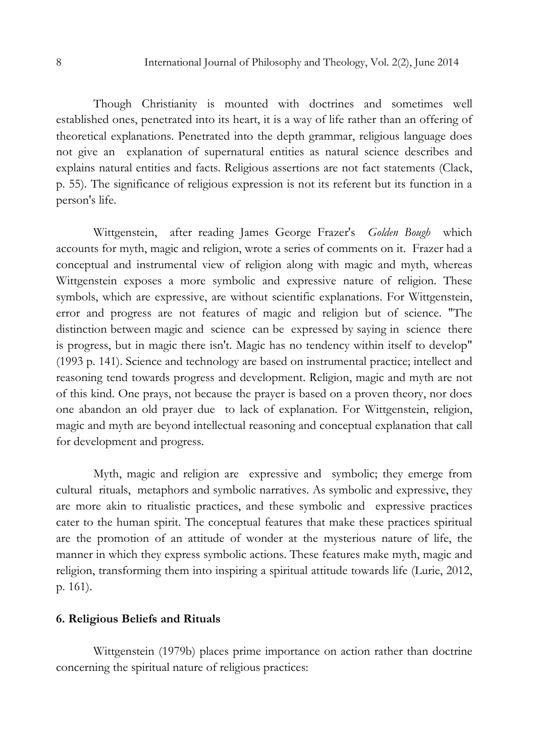Though Christianity is mounted with doctrines and sometimes well established ones, penetrated into its heart, it is a way of life rather than an offering of theoretical explanations. Penetrated into the depth grammar, religious language does not give an explanation of supernatural entities as natural science describes and explains natural entities and facts. Religious assertions are not fact statements (Clack, p. 55). The significance of religious expression is not its referent but its function in a person's life.

Wittgenstein, after reading James George Frazer's Golden Bough which accounts for myth, magic and religion, wrote a series of comments on it. Frazer had a conceptual and instrumental view of religion along with magic and myth, whereas Wittgenstein exposes a more symbolic and expressive nature of religion. These symbols, which are expressive, are without scientific explanations. For Wittgenstein, error and progress are not features of magic and religion but of science. "The distinction between magic and science can be expressed by saying in science there is progress, but in magic there isn't. Magic has no tendency within itself to develop" (1993 p. 141). Science and technology are based on instrumental practice; intellect and reasoning tend towards progress and development. Religion, magic and myth are not of this kind. One prays, not because the prayer is based on a proven theory, nor does one abandon an old prayer due to lack of explanation. For Wittgenstein, religion, magic and myth are beyond intellectual reasoning and conceptual explanation that call for development and progress.

Myth, magic and religion are expressive and symbolic; they emerge from cultural rituals, metaphors and symbolic narratives. As symbolic and expressive, they are more akin to ritualistic practices, and these symbolic and expressive practices cater to the human spirit. The conceptual features that make these practices spiritual are the promotion of an attitude of wonder at the mysterious nature of life, the manner in which they express symbolic actions. These features make myth, magic and religion, transforming them into inspiring a spiritual attitude towards life (Lurie, 2012, p. 161).

## 6. Religious Beliefs and Rituals

 Wittgenstein (1979b) places prime importance on action rather than doctrine concerning the spiritual nature of religious practices: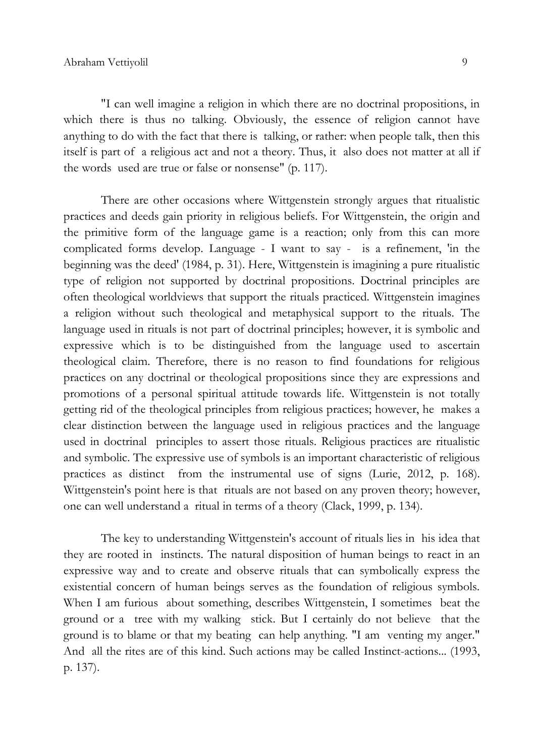"I can well imagine a religion in which there are no doctrinal propositions, in which there is thus no talking. Obviously, the essence of religion cannot have anything to do with the fact that there is talking, or rather: when people talk, then this itself is part of a religious act and not a theory. Thus, it also does not matter at all if the words used are true or false or nonsense" (p. 117).

There are other occasions where Wittgenstein strongly argues that ritualistic practices and deeds gain priority in religious beliefs. For Wittgenstein, the origin and the primitive form of the language game is a reaction; only from this can more complicated forms develop. Language - I want to say - is a refinement, 'in the beginning was the deed' (1984, p. 31). Here, Wittgenstein is imagining a pure ritualistic type of religion not supported by doctrinal propositions. Doctrinal principles are often theological worldviews that support the rituals practiced. Wittgenstein imagines a religion without such theological and metaphysical support to the rituals. The language used in rituals is not part of doctrinal principles; however, it is symbolic and expressive which is to be distinguished from the language used to ascertain theological claim. Therefore, there is no reason to find foundations for religious practices on any doctrinal or theological propositions since they are expressions and promotions of a personal spiritual attitude towards life. Wittgenstein is not totally getting rid of the theological principles from religious practices; however, he makes a clear distinction between the language used in religious practices and the language used in doctrinal principles to assert those rituals. Religious practices are ritualistic and symbolic. The expressive use of symbols is an important characteristic of religious practices as distinct from the instrumental use of signs (Lurie, 2012, p. 168). Wittgenstein's point here is that rituals are not based on any proven theory; however, one can well understand a ritual in terms of a theory (Clack, 1999, p. 134).

The key to understanding Wittgenstein's account of rituals lies in his idea that they are rooted in instincts. The natural disposition of human beings to react in an expressive way and to create and observe rituals that can symbolically express the existential concern of human beings serves as the foundation of religious symbols. When I am furious about something, describes Wittgenstein, I sometimes beat the ground or a tree with my walking stick. But I certainly do not believe that the ground is to blame or that my beating can help anything. "I am venting my anger." And all the rites are of this kind. Such actions may be called Instinct-actions... (1993, p. 137).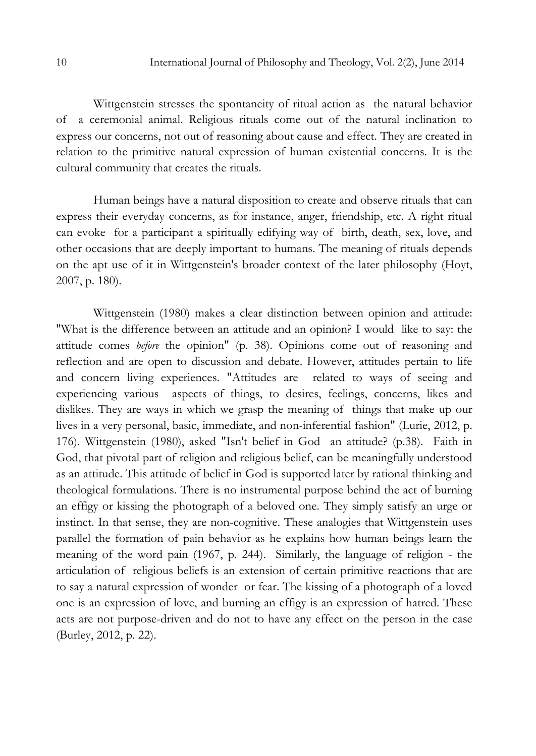Wittgenstein stresses the spontaneity of ritual action as the natural behavior of a ceremonial animal. Religious rituals come out of the natural inclination to express our concerns, not out of reasoning about cause and effect. They are created in relation to the primitive natural expression of human existential concerns. It is the cultural community that creates the rituals.

Human beings have a natural disposition to create and observe rituals that can express their everyday concerns, as for instance, anger, friendship, etc. A right ritual can evoke for a participant a spiritually edifying way of birth, death, sex, love, and other occasions that are deeply important to humans. The meaning of rituals depends on the apt use of it in Wittgenstein's broader context of the later philosophy (Hoyt, 2007, p. 180).

Wittgenstein (1980) makes a clear distinction between opinion and attitude: "What is the difference between an attitude and an opinion? I would like to say: the attitude comes before the opinion" (p. 38). Opinions come out of reasoning and reflection and are open to discussion and debate. However, attitudes pertain to life and concern living experiences. "Attitudes are related to ways of seeing and experiencing various aspects of things, to desires, feelings, concerns, likes and dislikes. They are ways in which we grasp the meaning of things that make up our lives in a very personal, basic, immediate, and non-inferential fashion" (Lurie, 2012, p. 176). Wittgenstein (1980), asked "Isn't belief in God an attitude? (p.38). Faith in God, that pivotal part of religion and religious belief, can be meaningfully understood as an attitude. This attitude of belief in God is supported later by rational thinking and theological formulations. There is no instrumental purpose behind the act of burning an effigy or kissing the photograph of a beloved one. They simply satisfy an urge or instinct. In that sense, they are non-cognitive. These analogies that Wittgenstein uses parallel the formation of pain behavior as he explains how human beings learn the meaning of the word pain (1967, p. 244). Similarly, the language of religion - the articulation of religious beliefs is an extension of certain primitive reactions that are to say a natural expression of wonder or fear. The kissing of a photograph of a loved one is an expression of love, and burning an effigy is an expression of hatred. These acts are not purpose-driven and do not to have any effect on the person in the case (Burley, 2012, p. 22).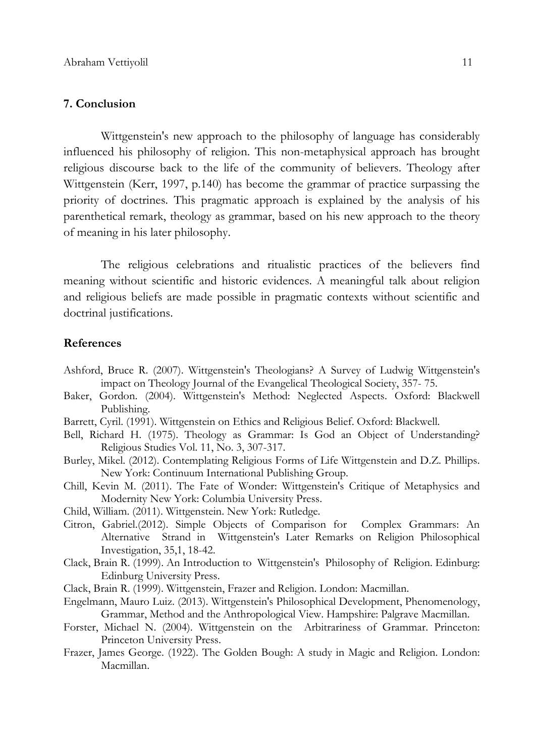#### 7. Conclusion

Wittgenstein's new approach to the philosophy of language has considerably influenced his philosophy of religion. This non-metaphysical approach has brought religious discourse back to the life of the community of believers. Theology after Wittgenstein (Kerr, 1997, p.140) has become the grammar of practice surpassing the priority of doctrines. This pragmatic approach is explained by the analysis of his parenthetical remark, theology as grammar, based on his new approach to the theory of meaning in his later philosophy.

The religious celebrations and ritualistic practices of the believers find meaning without scientific and historic evidences. A meaningful talk about religion and religious beliefs are made possible in pragmatic contexts without scientific and doctrinal justifications.

#### References

- Ashford, Bruce R. (2007). Wittgenstein's Theologians? A Survey of Ludwig Wittgenstein's impact on Theology Journal of the Evangelical Theological Society, 357- 75.
- Baker, Gordon. (2004). Wittgenstein's Method: Neglected Aspects. Oxford: Blackwell Publishing.
- Barrett, Cyril. (1991). Wittgenstein on Ethics and Religious Belief. Oxford: Blackwell.
- Bell, Richard H. (1975). Theology as Grammar: Is God an Object of Understanding? Religious Studies Vol. 11, No. 3, 307-317.
- Burley, Mikel. (2012). Contemplating Religious Forms of Life Wittgenstein and D.Z. Phillips. New York: Continuum International Publishing Group.
- Chill, Kevin M. (2011). The Fate of Wonder: Wittgenstein's Critique of Metaphysics and Modernity New York: Columbia University Press.
- Child, William. (2011). Wittgenstein. New York: Rutledge.
- Citron, Gabriel.(2012). Simple Objects of Comparison for Complex Grammars: An Alternative Strand in Wittgenstein's Later Remarks on Religion Philosophical Investigation, 35,1, 18-42.
- Clack, Brain R. (1999). An Introduction to Wittgenstein's Philosophy of Religion. Edinburg: Edinburg University Press.
- Clack, Brain R. (1999). Wittgenstein, Frazer and Religion. London: Macmillan.
- Engelmann, Mauro Luiz. (2013). Wittgenstein's Philosophical Development, Phenomenology, Grammar, Method and the Anthropological View. Hampshire: Palgrave Macmillan.
- Forster, Michael N. (2004). Wittgenstein on the Arbitrariness of Grammar. Princeton: Princeton University Press.
- Frazer, James George. (1922). The Golden Bough: A study in Magic and Religion. London: Macmillan.